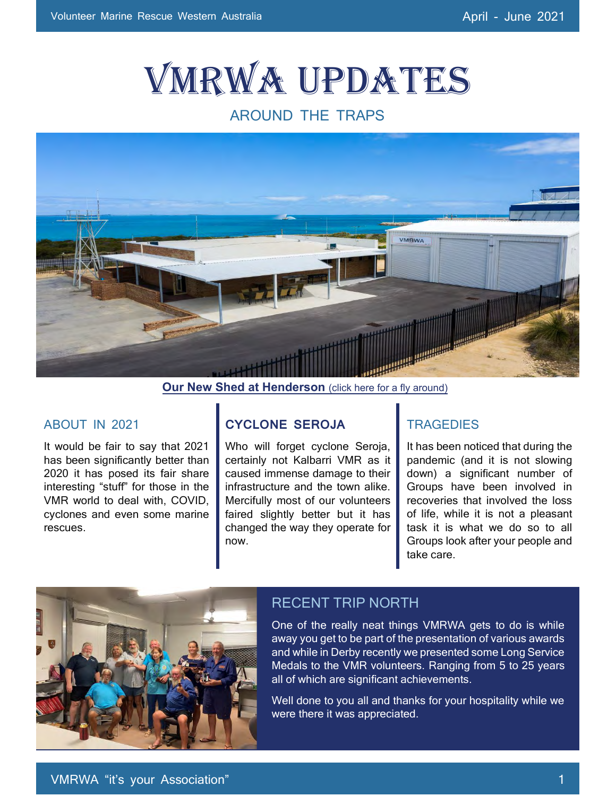# VMRWA Updates

## AROUND THE TRAPS



**Our New Shed at Henderson** [\(click here for a fly around\)](https://video.wixstatic.com/video/c07b99_56999365a715442e9871b4a06f6deec2/1080p/mp4/file.mp4)

#### ABOUT IN 2021

It would be fair to say that 2021 has been significantly better than 2020 it has posed its fair share interesting "stuff" for those in the VMR world to deal with, COVID, cyclones and even some marine rescues.

### **CYCLONE SEROJA**

Who will forget cyclone Seroja, certainly not Kalbarri VMR as it caused immense damage to their infrastructure and the town alike. Mercifully most of our volunteers faired slightly better but it has changed the way they operate for now.

#### **TRAGEDIES**

It has been noticed that during the pandemic (and it is not slowing down) a significant number of Groups have been involved in recoveries that involved the loss of life, while it is not a pleasant task it is what we do so to all Groups look after your people and take care.



### RECENT TRIP NORTH

One of the really neat things VMRWA gets to do is while away you get to be part of the presentation of various awards and while in Derby recently we presented some Long Service Medals to the VMR volunteers. Ranging from 5 to 25 years all of which are significant achievements.

Well done to you all and thanks for your hospitality while we were there it was appreciated.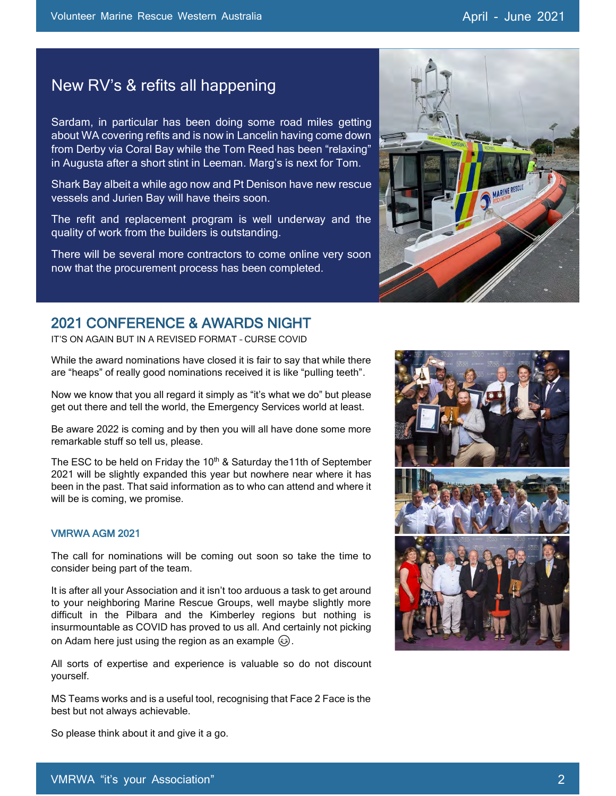## New RV's & refits all happening

Sardam, in particular has been doing some road miles getting about WA covering refits and is now in Lancelin having come down from Derby via Coral Bay while the Tom Reed has been "relaxing" in Augusta after a short stint in Leeman. Marg's is next for Tom.

Shark Bay albeit a while ago now and Pt Denison have new rescue vessels and Jurien Bay will have theirs soon.

The refit and replacement program is well underway and the quality of work from the builders is outstanding.

There will be several more contractors to come online very soon now that the procurement process has been completed.

## 2021 CONFERENCE & AWARDS NIGHT

IT'S ON AGAIN BUT IN A REVISED FORMAT – CURSE COVID

While the award nominations have closed it is fair to say that while there are "heaps" of really good nominations received it is like "pulling teeth".

Now we know that you all regard it simply as "it's what we do" but please get out there and tell the world, the Emergency Services world at least.

Be aware 2022 is coming and by then you will all have done some more remarkable stuff so tell us, please.

The ESC to be held on Friday the  $10<sup>th</sup>$  & Saturday the 11th of September 2021 will be slightly expanded this year but nowhere near where it has been in the past. That said information as to who can attend and where it will be is coming, we promise.

#### VMRWA AGM 2021

The call for nominations will be coming out soon so take the time to consider being part of the team.

It is after all your Association and it isn't too arduous a task to get around to your neighboring Marine Rescue Groups, well maybe slightly more difficult in the Pilbara and the Kimberley regions but nothing is insurmountable as COVID has proved to us all. And certainly not picking on Adam here just using the region as an example  $\circled{e}$ .

All sorts of expertise and experience is valuable so do not discount yourself.

MS Teams works and is a useful tool, recognising that Face 2 Face is the best but not always achievable.

Keep an eye on the Volunteer Hub and your emails.

So please think about it and give it a go.